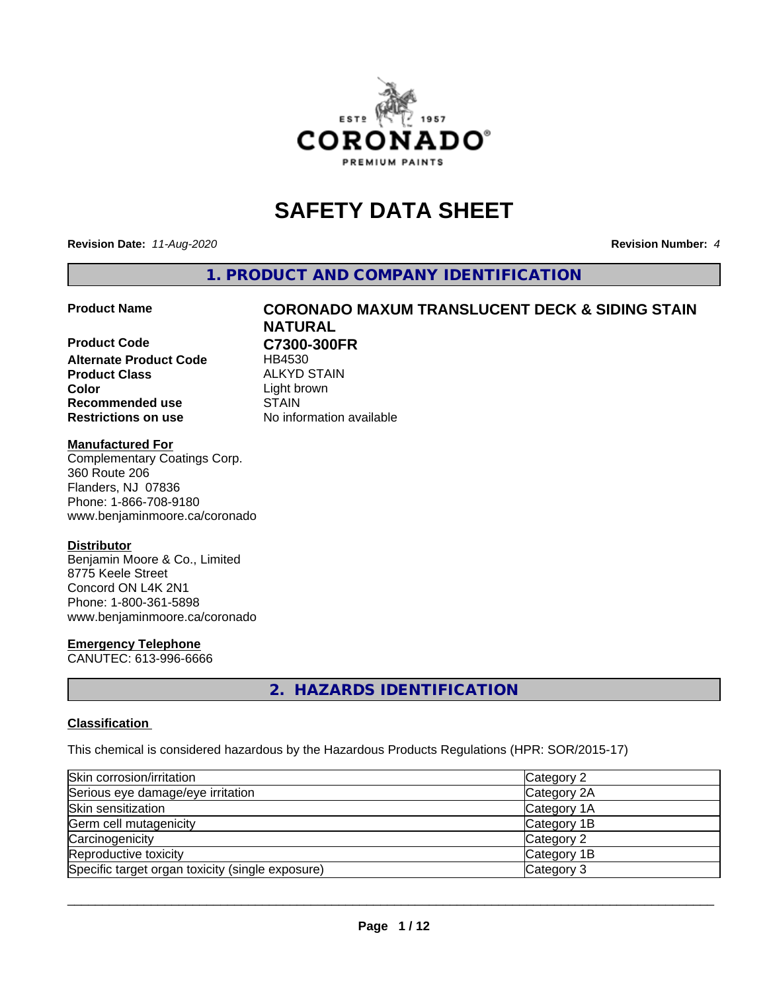

# **SAFETY DATA SHEET**

**Revision Date:** *11-Aug-2020* **Revision Number:** *4*

**1. PRODUCT AND COMPANY IDENTIFICATION**

**Product Code C7300-300FR Alternate Product Code** HB4530 **Product Class** ALKYD STAIN<br> **Color** Light brown **Recommended use STAIN Restrictions on use** No information available

# **Product Name CORONADO MAXUM TRANSLUCENT DECK & SIDING STAIN NATURAL** Light brown

#### **Manufactured For**

Complementary Coatings Corp. 360 Route 206 Flanders, NJ 07836 Phone: 1-866-708-9180 www.benjaminmoore.ca/coronado

#### **Distributor**

Benjamin Moore & Co., Limited 8775 Keele Street Concord ON L4K 2N1 Phone: 1-800-361-5898 www.benjaminmoore.ca/coronado

#### **Emergency Telephone**

CANUTEC: 613-996-6666

# **2. HAZARDS IDENTIFICATION**

#### **Classification**

This chemical is considered hazardous by the Hazardous Products Regulations (HPR: SOR/2015-17)

| Skin corrosion/irritation                        | Category 2  |
|--------------------------------------------------|-------------|
| Serious eye damage/eye irritation                | Category 2A |
| Skin sensitization                               | Category 1A |
| Germ cell mutagenicity                           | Category 1B |
| Carcinogenicity                                  | Category 2  |
| Reproductive toxicity                            | Category 1B |
| Specific target organ toxicity (single exposure) | Category 3  |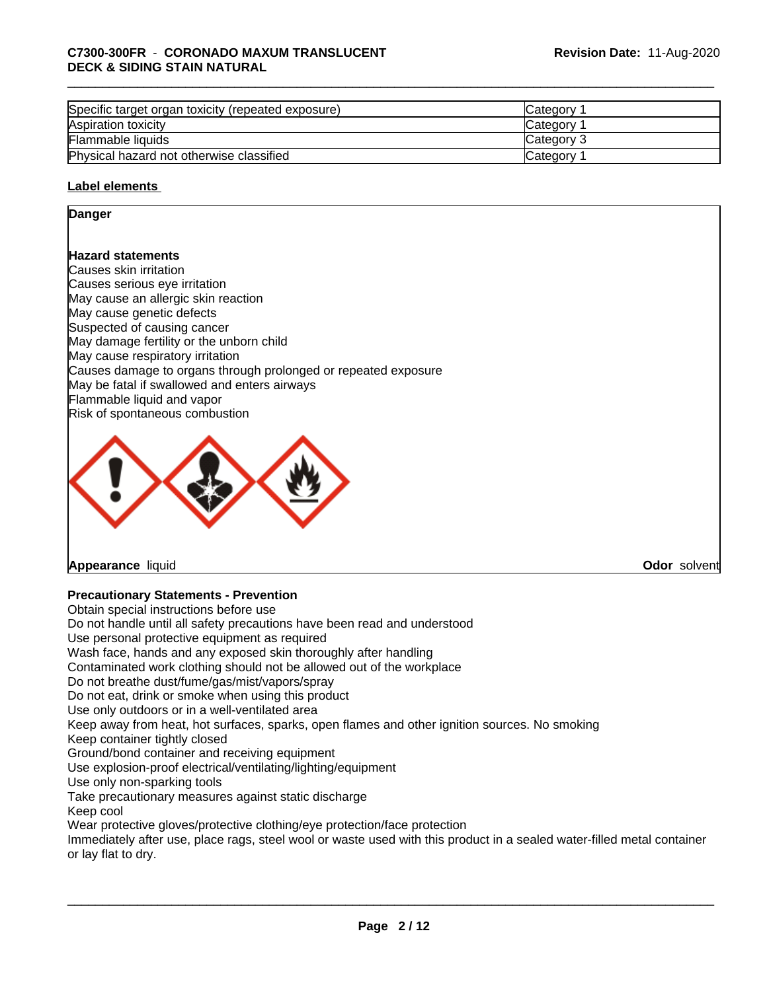| Specific target organ toxicity (repeated exposure) | Category        |  |
|----------------------------------------------------|-----------------|--|
| Aspiration toxicity                                | Category        |  |
| Flammable liquids                                  | Category 3      |  |
| Physical hazard not otherwise classified           | <b>Category</b> |  |

#### **Label elements**

#### **Danger**

#### **Hazard statements**

Causes skin irritation Causes serious eye irritation May cause an allergic skin reaction May cause genetic defects Suspected of causing cancer May damage fertility or the unborn child May cause respiratory irritation Causes damage to organs through prolonged or repeated exposure May be fatal if swallowed and enters airways Flammable liquid and vapor Risk of spontaneous combustion



**Appearance** liquid **Odor** solvent

### **Precautionary Statements - Prevention**

Obtain special instructions before use Do not handle until all safety precautions have been read and understood Use personal protective equipment as required Wash face, hands and any exposed skin thoroughly after handling Contaminated work clothing should not be allowed out of the workplace Do not breathe dust/fume/gas/mist/vapors/spray Do not eat, drink or smoke when using this product Use only outdoors or in a well-ventilated area Keep away from heat, hot surfaces, sparks, open flames and other ignition sources. No smoking Keep container tightly closed Ground/bond container and receiving equipment Use explosion-proof electrical/ventilating/lighting/equipment Use only non-sparking tools Take precautionary measures against static discharge Keep cool Wear protective gloves/protective clothing/eye protection/face protection Immediately after use, place rags, steel wool or waste used with this product in a sealed water-filled metal container or lay flat to dry.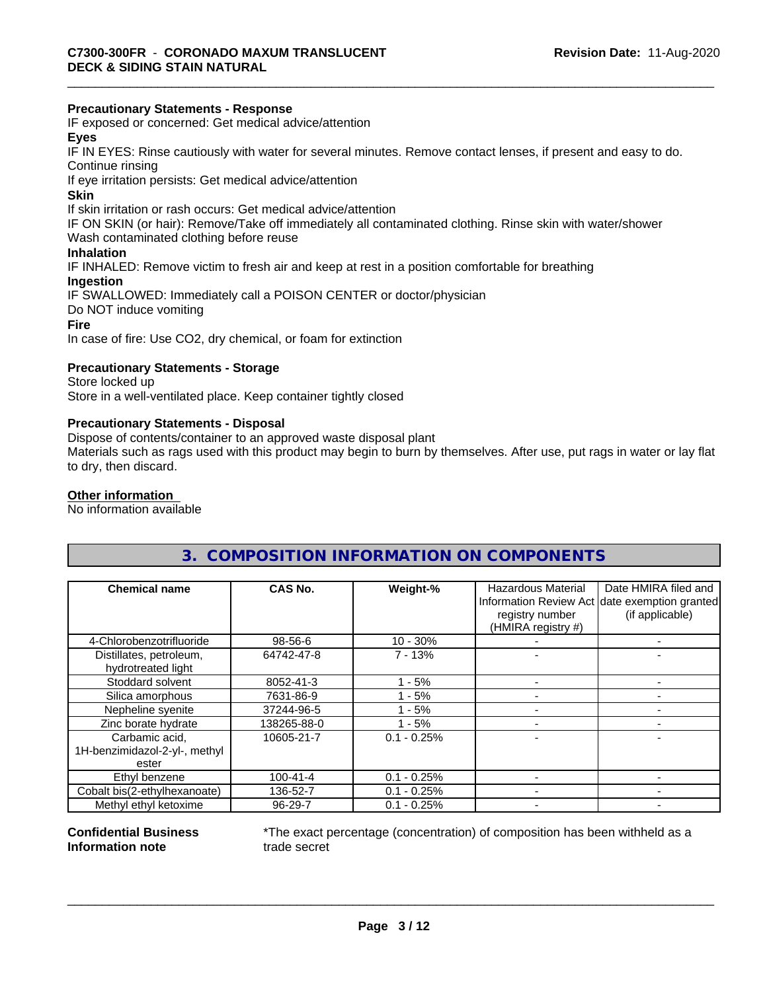#### **Precautionary Statements - Response**

IF exposed or concerned: Get medical advice/attention

### **Eyes**

IF IN EYES: Rinse cautiously with water forseveral minutes. Remove contact lenses, if present and easy to do. Continue rinsing

If eye irritation persists: Get medical advice/attention

#### **Skin**

If skin irritation or rash occurs: Get medical advice/attention

IF ON SKIN (or hair): Remove/Take off immediately all contaminated clothing. Rinse skin with water/shower

Wash contaminated clothing before reuse

# **Inhalation**

IF INHALED: Remove victim to fresh air and keep at rest in a position comfortable for breathing

### **Ingestion**

IF SWALLOWED: Immediately call a POISON CENTER or doctor/physician Do NOT induce vomiting **Fire**

In case of fire: Use CO2, dry chemical, or foam for extinction

#### **Precautionary Statements - Storage**

Store locked up Store in a well-ventilated place. Keep container tightly closed

#### **Precautionary Statements - Disposal**

Dispose of contents/container to an approved waste disposal plant

Materials such as rags used with this product may begin to burn by themselves. After use, put rags in water or lay flat to dry, then discard.

## **Other information**

No information available

# **3. COMPOSITION INFORMATION ON COMPONENTS**

| <b>Chemical name</b>                          | CAS No.        | Weight-%      | <b>Hazardous Material</b><br>registry number<br>(HMIRA registry #) | Date HMIRA filed and<br>Information Review Act date exemption granted<br>(if applicable) |
|-----------------------------------------------|----------------|---------------|--------------------------------------------------------------------|------------------------------------------------------------------------------------------|
| 4-Chlorobenzotrifluoride                      | 98-56-6        | $10 - 30%$    |                                                                    |                                                                                          |
| Distillates, petroleum,<br>hydrotreated light | 64742-47-8     | $7 - 13%$     |                                                                    |                                                                                          |
| Stoddard solvent                              | 8052-41-3      | - 5%          |                                                                    |                                                                                          |
| Silica amorphous                              | 7631-86-9      | $-5%$         |                                                                    |                                                                                          |
| Nepheline syenite                             | 37244-96-5     | - 5%          |                                                                    |                                                                                          |
| Zinc borate hydrate                           | 138265-88-0    | $-5%$         |                                                                    |                                                                                          |
| Carbamic acid.                                | 10605-21-7     | $0.1 - 0.25%$ |                                                                    |                                                                                          |
| 1H-benzimidazol-2-yl-, methyl<br>ester        |                |               |                                                                    |                                                                                          |
| Ethyl benzene                                 | $100 - 41 - 4$ | $0.1 - 0.25%$ |                                                                    |                                                                                          |
| Cobalt bis(2-ethylhexanoate)                  | 136-52-7       | $0.1 - 0.25%$ |                                                                    |                                                                                          |
| Methyl ethyl ketoxime                         | 96-29-7        | $0.1 - 0.25%$ |                                                                    |                                                                                          |

#### **Confidential Business Information note**

\*The exact percentage (concentration) of composition has been withheld as a trade secret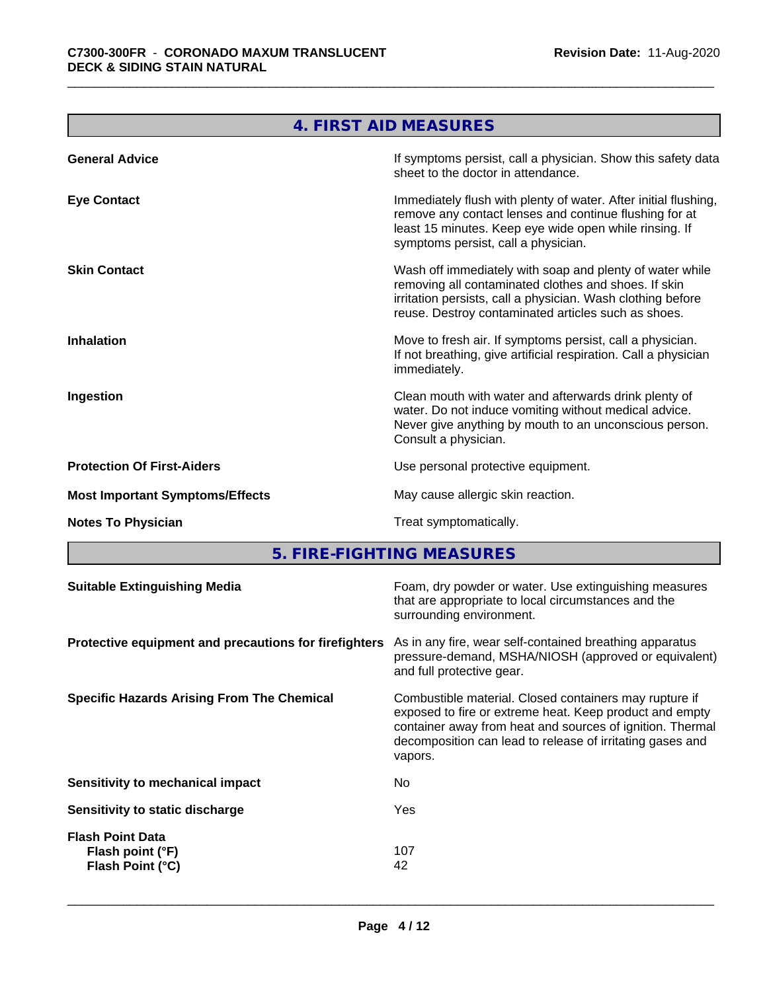<u> Tanzania (h. 1878).</u>

|                                        | 4. FIRST AID MEASURES                                                                                                                                                                                                                  |
|----------------------------------------|----------------------------------------------------------------------------------------------------------------------------------------------------------------------------------------------------------------------------------------|
| <b>General Advice</b>                  | If symptoms persist, call a physician. Show this safety data<br>sheet to the doctor in attendance.                                                                                                                                     |
| <b>Eye Contact</b>                     | Immediately flush with plenty of water. After initial flushing,<br>remove any contact lenses and continue flushing for at<br>least 15 minutes. Keep eye wide open while rinsing. If<br>symptoms persist, call a physician.             |
| <b>Skin Contact</b>                    | Wash off immediately with soap and plenty of water while<br>removing all contaminated clothes and shoes. If skin<br>irritation persists, call a physician. Wash clothing before<br>reuse. Destroy contaminated articles such as shoes. |
| <b>Inhalation</b>                      | Move to fresh air. If symptoms persist, call a physician.<br>If not breathing, give artificial respiration. Call a physician<br>immediately.                                                                                           |
| Ingestion                              | Clean mouth with water and afterwards drink plenty of<br>water. Do not induce vomiting without medical advice.<br>Never give anything by mouth to an unconscious person.<br>Consult a physician.                                       |
| <b>Protection Of First-Aiders</b>      | Use personal protective equipment.                                                                                                                                                                                                     |
| <b>Most Important Symptoms/Effects</b> | May cause allergic skin reaction.                                                                                                                                                                                                      |
| <b>Notes To Physician</b>              | Treat symptomatically.                                                                                                                                                                                                                 |

**5. FIRE-FIGHTING MEASURES**

| As in any fire, wear self-contained breathing apparatus<br>Protective equipment and precautions for firefighters<br>pressure-demand, MSHA/NIOSH (approved or equivalent)<br>and full protective gear.<br>Combustible material. Closed containers may rupture if<br>exposed to fire or extreme heat. Keep product and empty<br>container away from heat and sources of ignition. Thermal<br>decomposition can lead to release of irritating gases and<br>vapors.<br>No.<br>Sensitivity to mechanical impact<br>Yes<br>Sensitivity to static discharge<br><b>Flash Point Data</b><br>107<br>Flash point (°F)<br>Flash Point (°C)<br>42 | <b>Suitable Extinguishing Media</b> | Foam, dry powder or water. Use extinguishing measures<br>that are appropriate to local circumstances and the<br>surrounding environment. |
|--------------------------------------------------------------------------------------------------------------------------------------------------------------------------------------------------------------------------------------------------------------------------------------------------------------------------------------------------------------------------------------------------------------------------------------------------------------------------------------------------------------------------------------------------------------------------------------------------------------------------------------|-------------------------------------|------------------------------------------------------------------------------------------------------------------------------------------|
| <b>Specific Hazards Arising From The Chemical</b>                                                                                                                                                                                                                                                                                                                                                                                                                                                                                                                                                                                    |                                     |                                                                                                                                          |
|                                                                                                                                                                                                                                                                                                                                                                                                                                                                                                                                                                                                                                      |                                     |                                                                                                                                          |
|                                                                                                                                                                                                                                                                                                                                                                                                                                                                                                                                                                                                                                      |                                     |                                                                                                                                          |
|                                                                                                                                                                                                                                                                                                                                                                                                                                                                                                                                                                                                                                      |                                     |                                                                                                                                          |
|                                                                                                                                                                                                                                                                                                                                                                                                                                                                                                                                                                                                                                      |                                     |                                                                                                                                          |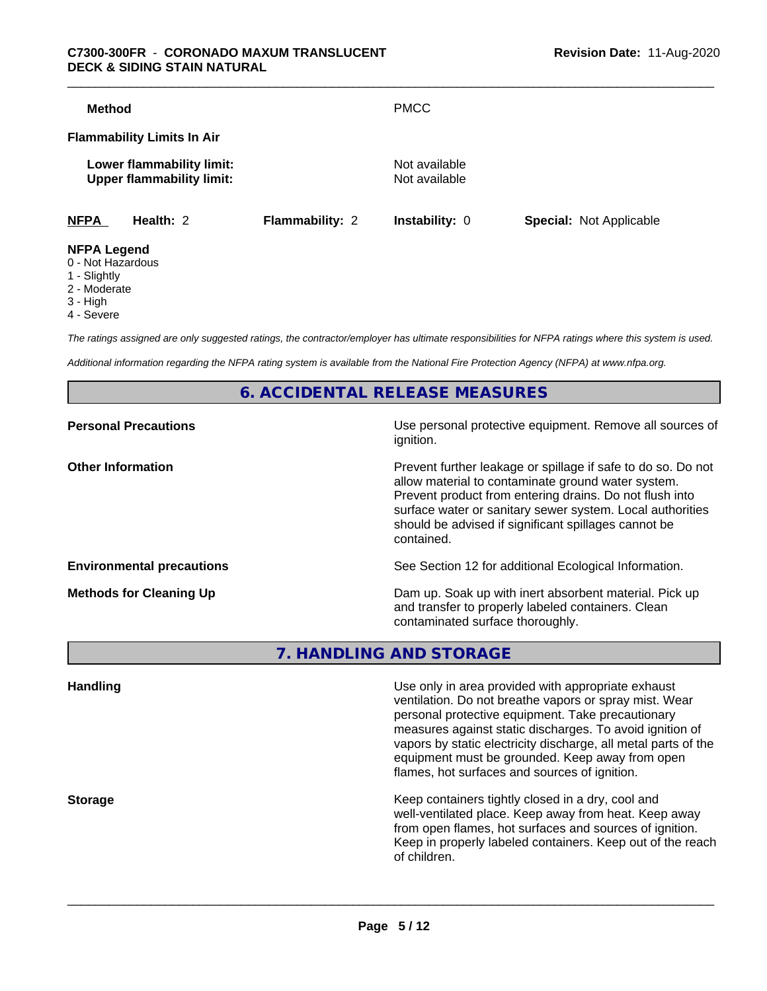#### \_\_\_\_\_\_\_\_\_\_\_\_\_\_\_\_\_\_\_\_\_\_\_\_\_\_\_\_\_\_\_\_\_\_\_\_\_\_\_\_\_\_\_\_\_\_\_\_\_\_\_\_\_\_\_\_\_\_\_\_\_\_\_\_\_\_\_\_\_\_\_\_\_\_\_\_\_\_\_\_\_\_\_\_\_\_\_\_\_\_\_\_\_ **C7300-300FR** - **CORONADO MAXUM TRANSLUCENT DECK & SIDING STAIN NATURAL**

| <b>Method</b>      |                                                               |                        | <b>PMCC</b>                    |                                |
|--------------------|---------------------------------------------------------------|------------------------|--------------------------------|--------------------------------|
|                    | <b>Flammability Limits In Air</b>                             |                        |                                |                                |
|                    | Lower flammability limit:<br><b>Upper flammability limit:</b> |                        | Not available<br>Not available |                                |
| <b>NFPA</b>        | Health: 2                                                     | <b>Flammability: 2</b> | <b>Instability: 0</b>          | <b>Special: Not Applicable</b> |
| <b>NFPA Legend</b> |                                                               |                        |                                |                                |

- 0 Not Hazardous 1 - Slightly
- 
- 2 Moderate
- 3 High
- 4 Severe

*The ratings assigned are only suggested ratings, the contractor/employer has ultimate responsibilities for NFPA ratings where this system is used.*

*Additional information regarding the NFPA rating system is available from the National Fire Protection Agency (NFPA) at www.nfpa.org.*

**6. ACCIDENTAL RELEASE MEASURES**

| <b>Personal Precautions</b>      | Use personal protective equipment. Remove all sources of<br>ignition.                                                                                                                                                                                                                                            |
|----------------------------------|------------------------------------------------------------------------------------------------------------------------------------------------------------------------------------------------------------------------------------------------------------------------------------------------------------------|
| <b>Other Information</b>         | Prevent further leakage or spillage if safe to do so. Do not<br>allow material to contaminate ground water system.<br>Prevent product from entering drains. Do not flush into<br>surface water or sanitary sewer system. Local authorities<br>should be advised if significant spillages cannot be<br>contained. |
| <b>Environmental precautions</b> | See Section 12 for additional Ecological Information.                                                                                                                                                                                                                                                            |
| <b>Methods for Cleaning Up</b>   | Dam up. Soak up with inert absorbent material. Pick up<br>and transfer to properly labeled containers. Clean<br>contaminated surface thoroughly.                                                                                                                                                                 |

**7. HANDLING AND STORAGE**

| <b>Handling</b> | Use only in area provided with appropriate exhaust<br>ventilation. Do not breathe vapors or spray mist. Wear<br>personal protective equipment. Take precautionary<br>measures against static discharges. To avoid ignition of<br>vapors by static electricity discharge, all metal parts of the<br>equipment must be grounded. Keep away from open<br>flames, hot surfaces and sources of ignition. |
|-----------------|-----------------------------------------------------------------------------------------------------------------------------------------------------------------------------------------------------------------------------------------------------------------------------------------------------------------------------------------------------------------------------------------------------|
| <b>Storage</b>  | Keep containers tightly closed in a dry, cool and<br>well-ventilated place. Keep away from heat. Keep away<br>from open flames, hot surfaces and sources of ignition.<br>Keep in properly labeled containers. Keep out of the reach<br>of children.                                                                                                                                                 |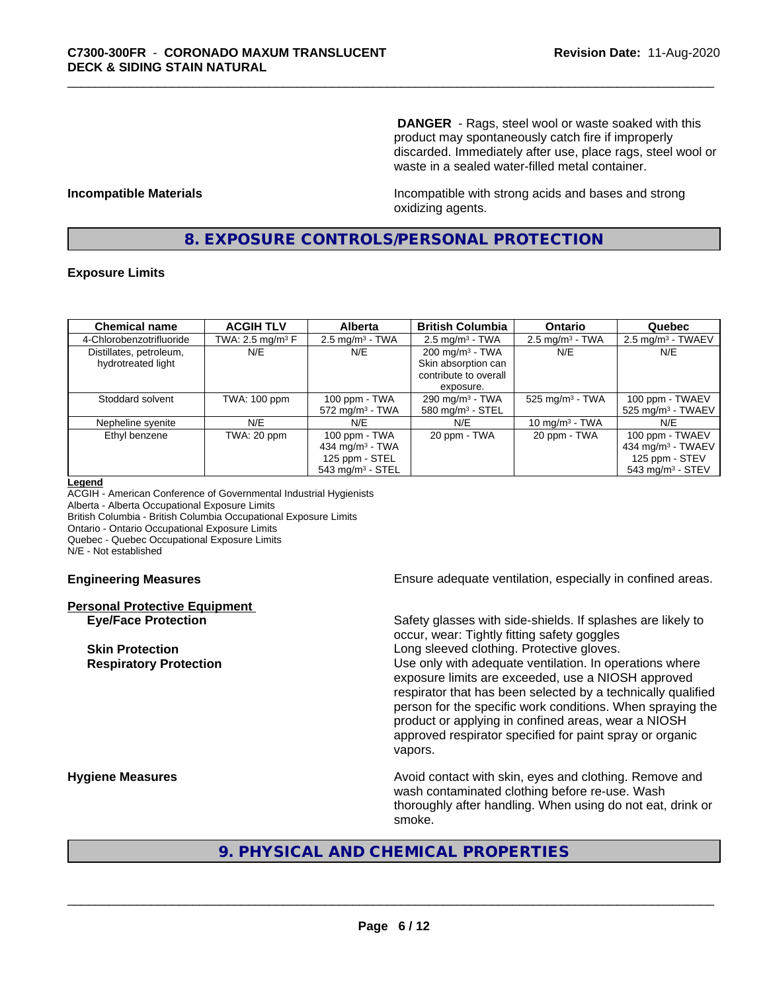**DANGER** - Rags, steel wool or waste soaked with this product may spontaneously catch fire if improperly discarded. Immediately after use, place rags, steel wool or waste in a sealed water-filled metal container.

**Incompatible Materials Incompatible with strong acids and bases and strong** oxidizing agents.

# **8. EXPOSURE CONTROLS/PERSONAL PROTECTION**

#### **Exposure Limits**

| <b>Chemical name</b>     | <b>ACGIH TLV</b>    | <b>Alberta</b>                 | <b>British Columbia</b>      | <b>Ontario</b>                | Quebec                          |
|--------------------------|---------------------|--------------------------------|------------------------------|-------------------------------|---------------------------------|
| 4-Chlorobenzotrifluoride | TWA: 2.5 mg/m $3$ F | $2.5$ mg/m <sup>3</sup> - TWA  | $2.5 \text{ mg/m}^3$ - TWA   | $2.5 \text{ mg/m}^3$ - TWA    | $2.5 \text{ mg/m}^3$ - TWAEV    |
| Distillates, petroleum,  | N/E                 | N/E                            | $200 \text{ mg/m}^3$ - TWA   | N/E                           | N/E                             |
| hydrotreated light       |                     |                                | Skin absorption can          |                               |                                 |
|                          |                     |                                | contribute to overall        |                               |                                 |
|                          |                     |                                | exposure.                    |                               |                                 |
| Stoddard solvent         | TWA: 100 ppm        | 100 ppm - TWA                  | 290 mg/m $3$ - TWA           | $525$ mg/m <sup>3</sup> - TWA | 100 ppm - TWAEV                 |
|                          |                     | $572$ mg/m <sup>3</sup> - TWA  | 580 mg/m <sup>3</sup> - STEL |                               | $525$ mg/m <sup>3</sup> - TWAEV |
| Nepheline syenite        | N/E                 | N/E                            | N/E                          | 10 mg/m $3$ - TWA             | N/E                             |
| Ethyl benzene            | TWA: 20 ppm         | 100 ppm - TWA                  | 20 ppm - TWA                 | 20 ppm - TWA                  | 100 ppm - TWAEV                 |
|                          |                     | 434 mg/m $3$ - TWA             |                              |                               | 434 mg/m <sup>3</sup> - TWAEV   |
|                          |                     | 125 ppm - STEL                 |                              |                               | 125 ppm - STEV                  |
|                          |                     | $543$ mg/m <sup>3</sup> - STEL |                              |                               | $543$ mg/m <sup>3</sup> - STEV  |

#### **Legend**

ACGIH - American Conference of Governmental Industrial Hygienists Alberta - Alberta Occupational Exposure Limits British Columbia - British Columbia Occupational Exposure Limits Ontario - Ontario Occupational Exposure Limits Quebec - Quebec Occupational Exposure Limits N/E - Not established

# **Personal Protective Equipment**

**Engineering Measures Ensure** Ensure adequate ventilation, especially in confined areas.

**Eye/Face Protection** Safety glasses with side-shields. If splashes are likely to occur, wear: Tightly fitting safety goggles **Skin Protection Skin Protection Skin Protective gloves.** Long sleeved clothing. Protective gloves. **Respiratory Protection Number 1** (Use only with adequate ventilation. In operations where exposure limits are exceeded, use a NIOSH approved respirator that has been selected by a technically qualified person for the specific work conditions. When spraying the product or applying in confined areas, wear a NIOSH approved respirator specified for paint spray or organic vapors.

**Hygiene Measures Avoid contact with skin, eyes and clothing. Remove and Avoid contact with skin, eyes and clothing. Remove and** wash contaminated clothing before re-use. Wash thoroughly after handling. When using do not eat, drink or smoke.

# **9. PHYSICAL AND CHEMICAL PROPERTIES**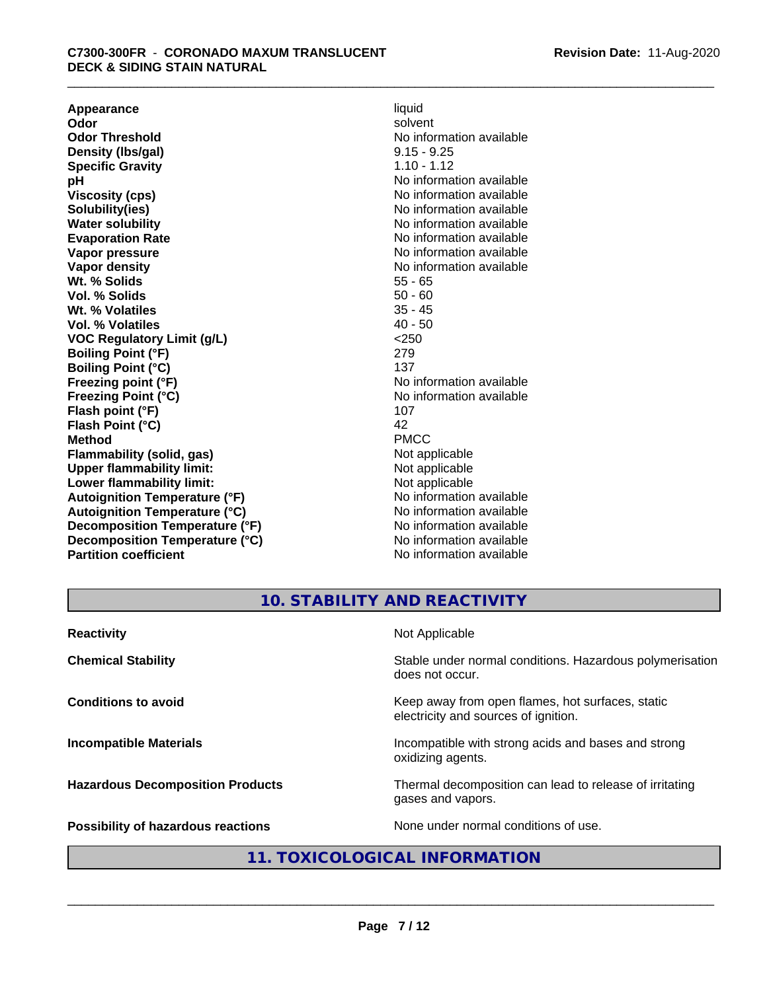**Appearance** liquid and **a liquid liquid liquid** by the liquid liquid liquid solvent **Odor** solvent **Odor Threshold** No information available **Density (lbs/gal)** 9.15 - 9.25 **Specific Gravity** 1.10 - 1.12<br> **pH** No informa **pH**<br>
Viscosity (cps) The Contract of the Contract of No information available<br>
No information available **Solubility(ies)** No information available **Water solubility** No information available **Evaporation Rate No information available No information available Vapor pressure** No information available **Vapor density No information available No** information available **Wt. % Solids** 55 - 65<br> **Vol. % Solids** 50 - 60 **Vol. % Solids** 50 - 60 **Wt. % Volatiles Vol. % Volatiles** 40 - 50 **VOC Regulatory Limit (g/L)** <250 **Boiling Point (°F)** 279 **Boiling Point (°C)** 137<br> **Preezing point (°F)** No interval 137 **Freezing Point (°C)** and **COV** No information available **Flash point (°F)** 107 **Flash Point (°C)** 42 **Method** PMCC **Flammability (solid, gas)**<br> **Commability limit:**<br>
Upper flammability limit:<br>
Not applicable **Upper flammability limit:**<br> **Lower flammability limit:**<br>
Not applicable<br>
Not applicable **Lower flammability limit:**<br> **Autoianition Temperature (°F)** Not applicable Not applicable not a Not applicable **Autoignition Temperature (°F) Autoignition Temperature (°C)** No information available **Decomposition Temperature (°F)** No information available **Decomposition Temperature (°C)** No information available **Partition coefficient** No information available

**Viscosity (cps)** No information available **No information available** 

**10. STABILITY AND REACTIVITY**

| <b>Reactivity</b>                       | Not Applicable                                                                           |
|-----------------------------------------|------------------------------------------------------------------------------------------|
| <b>Chemical Stability</b>               | Stable under normal conditions. Hazardous polymerisation<br>does not occur.              |
| <b>Conditions to avoid</b>              | Keep away from open flames, hot surfaces, static<br>electricity and sources of ignition. |
| <b>Incompatible Materials</b>           | Incompatible with strong acids and bases and strong<br>oxidizing agents.                 |
| <b>Hazardous Decomposition Products</b> | Thermal decomposition can lead to release of irritating<br>gases and vapors.             |
| Possibility of hazardous reactions      | None under normal conditions of use.                                                     |

# **11. TOXICOLOGICAL INFORMATION**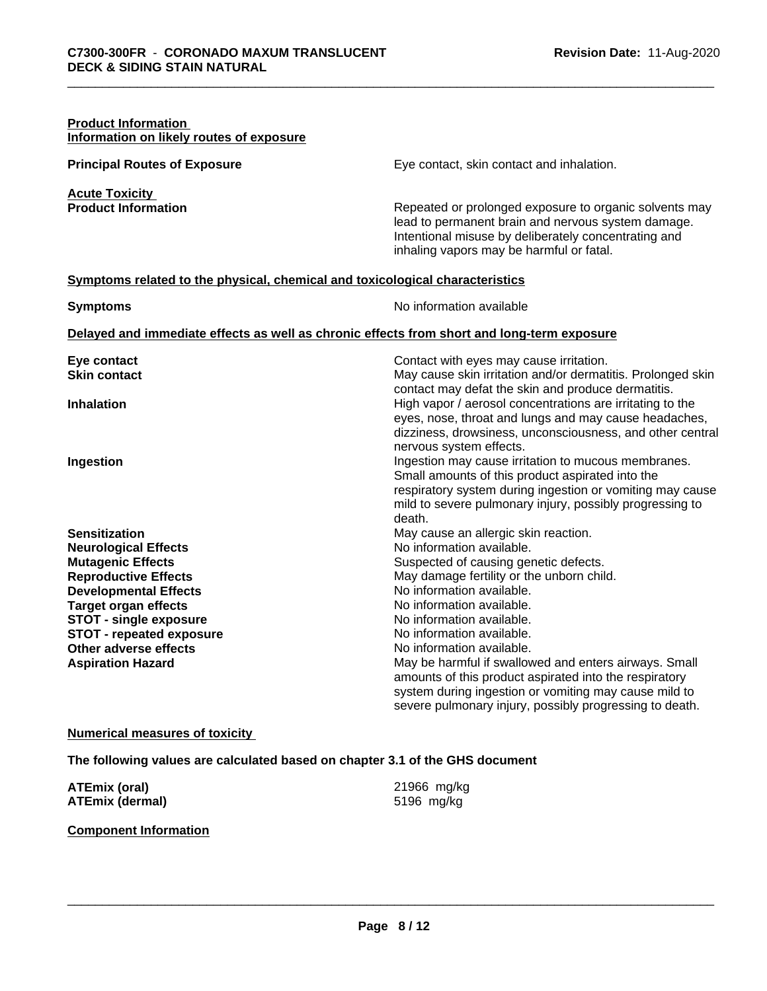| <b>Product Information</b><br>Information on likely routes of exposure       |                                                                                                                                                                                                                  |
|------------------------------------------------------------------------------|------------------------------------------------------------------------------------------------------------------------------------------------------------------------------------------------------------------|
| <b>Principal Routes of Exposure</b>                                          | Eye contact, skin contact and inhalation.                                                                                                                                                                        |
| <b>Acute Toxicity</b>                                                        |                                                                                                                                                                                                                  |
| <b>Product Information</b>                                                   | Repeated or prolonged exposure to organic solvents may<br>lead to permanent brain and nervous system damage.<br>Intentional misuse by deliberately concentrating and<br>inhaling vapors may be harmful or fatal. |
| Symptoms related to the physical, chemical and toxicological characteristics |                                                                                                                                                                                                                  |
| <b>Symptoms</b>                                                              | No information available                                                                                                                                                                                         |
|                                                                              | Delayed and immediate effects as well as chronic effects from short and long-term exposure                                                                                                                       |
| Eye contact                                                                  | Contact with eyes may cause irritation.                                                                                                                                                                          |
| <b>Skin contact</b>                                                          | May cause skin irritation and/or dermatitis. Prolonged skin                                                                                                                                                      |
| <b>Inhalation</b>                                                            | contact may defat the skin and produce dermatitis.<br>High vapor / aerosol concentrations are irritating to the<br>eyes, nose, throat and lungs and may cause headaches,                                         |
|                                                                              | dizziness, drowsiness, unconsciousness, and other central                                                                                                                                                        |
|                                                                              | nervous system effects.                                                                                                                                                                                          |
| Ingestion                                                                    | Ingestion may cause irritation to mucous membranes.                                                                                                                                                              |
|                                                                              | Small amounts of this product aspirated into the<br>respiratory system during ingestion or vomiting may cause                                                                                                    |
|                                                                              | mild to severe pulmonary injury, possibly progressing to                                                                                                                                                         |
|                                                                              | death.                                                                                                                                                                                                           |
| <b>Sensitization</b>                                                         | May cause an allergic skin reaction.                                                                                                                                                                             |
| <b>Neurological Effects</b>                                                  | No information available.                                                                                                                                                                                        |
| <b>Mutagenic Effects</b>                                                     | Suspected of causing genetic defects.                                                                                                                                                                            |
| <b>Reproductive Effects</b>                                                  | May damage fertility or the unborn child.                                                                                                                                                                        |
| <b>Developmental Effects</b>                                                 | No information available.                                                                                                                                                                                        |
| <b>Target organ effects</b>                                                  | No information available.                                                                                                                                                                                        |
| <b>STOT - single exposure</b>                                                | No information available.                                                                                                                                                                                        |
| <b>STOT - repeated exposure</b>                                              | No information available.                                                                                                                                                                                        |
| Other adverse effects                                                        | No information available.                                                                                                                                                                                        |
| <b>Aspiration Hazard</b>                                                     | May be harmful if swallowed and enters airways. Small                                                                                                                                                            |
|                                                                              | amounts of this product aspirated into the respiratory                                                                                                                                                           |
|                                                                              | system during ingestion or vomiting may cause mild to                                                                                                                                                            |
|                                                                              | severe pulmonary injury, possibly progressing to death.                                                                                                                                                          |

#### **Numerical measures of toxicity**

**The following values are calculated based on chapter 3.1 of the GHS document**

| ATEmix (oral)          | 21966 mg/kg |
|------------------------|-------------|
| <b>ATEmix (dermal)</b> | 5196 mg/kg  |

#### **Component Information**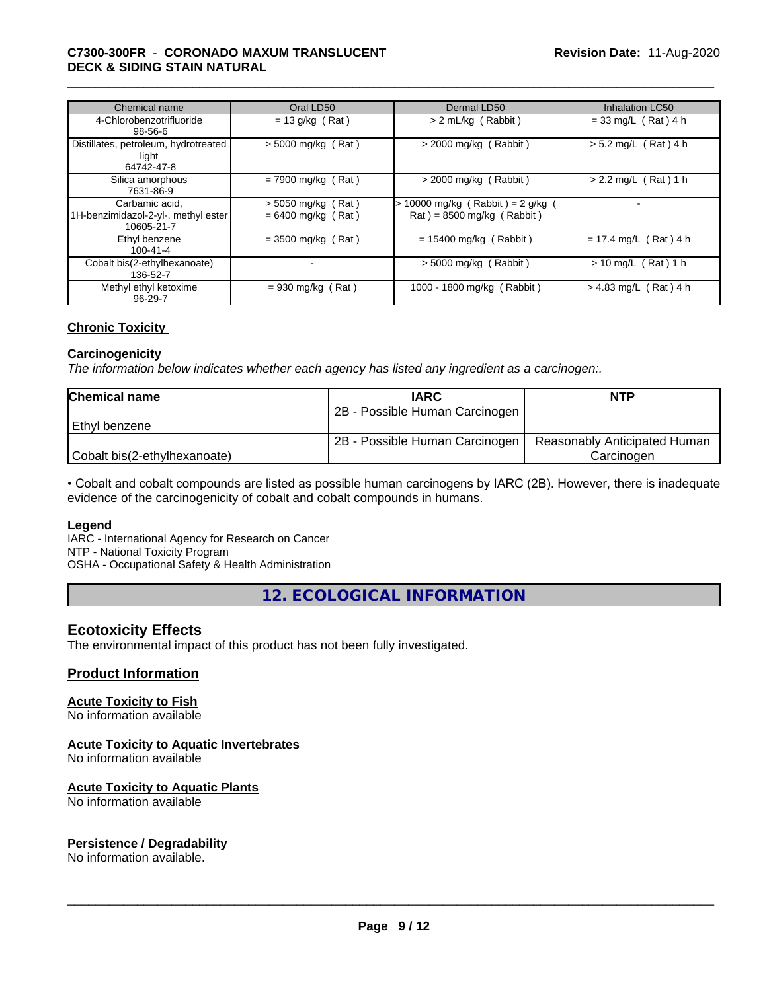#### \_\_\_\_\_\_\_\_\_\_\_\_\_\_\_\_\_\_\_\_\_\_\_\_\_\_\_\_\_\_\_\_\_\_\_\_\_\_\_\_\_\_\_\_\_\_\_\_\_\_\_\_\_\_\_\_\_\_\_\_\_\_\_\_\_\_\_\_\_\_\_\_\_\_\_\_\_\_\_\_\_\_\_\_\_\_\_\_\_\_\_\_\_ **C7300-300FR** - **CORONADO MAXUM TRANSLUCENT DECK & SIDING STAIN NATURAL**

| Chemical name                                                       | Oral LD50                                    | Dermal LD50                                                    | <b>Inhalation LC50</b>  |
|---------------------------------------------------------------------|----------------------------------------------|----------------------------------------------------------------|-------------------------|
| 4-Chlorobenzotrifluoride<br>$98 - 56 - 6$                           | $= 13$ g/kg (Rat)                            | > 2 mL/kg (Rabbit)                                             | $= 33$ mg/L (Rat) 4 h   |
| Distillates, petroleum, hydrotreated<br>light<br>64742-47-8         | $>$ 5000 mg/kg (Rat)                         | $>$ 2000 mg/kg (Rabbit)                                        | $> 5.2$ mg/L (Rat) 4 h  |
| Silica amorphous<br>7631-86-9                                       | $= 7900$ mg/kg (Rat)                         | $>$ 2000 mg/kg (Rabbit)                                        | $> 2.2$ mg/L (Rat) 1 h  |
| Carbamic acid.<br>1H-benzimidazol-2-yl-, methyl ester<br>10605-21-7 | $> 5050$ mg/kg (Rat)<br>$= 6400$ mg/kg (Rat) | > 10000 mg/kg (Rabbit) = 2 g/kg<br>$Rat$ = 8500 mg/kg (Rabbit) |                         |
| Ethyl benzene<br>$100 - 41 - 4$                                     | $= 3500$ mg/kg (Rat)                         | $= 15400$ mg/kg (Rabbit)                                       | $= 17.4$ mg/L (Rat) 4 h |
| Cobalt bis(2-ethylhexanoate)<br>136-52-7                            |                                              | $>$ 5000 mg/kg (Rabbit)                                        | $> 10$ mg/L (Rat) 1 h   |
| Methyl ethyl ketoxime<br>$96 - 29 - 7$                              | $= 930$ mg/kg (Rat)                          | 1000 - 1800 mg/kg (Rabbit)                                     | $> 4.83$ mg/L (Rat) 4 h |

#### **Chronic Toxicity**

#### **Carcinogenicity**

*The information below indicateswhether each agency has listed any ingredient as a carcinogen:.*

| <b>Chemical name</b>         | <b>IARC</b>                    | <b>NTP</b>                   |
|------------------------------|--------------------------------|------------------------------|
|                              | 2B - Possible Human Carcinogen |                              |
| Ethyl benzene                |                                |                              |
|                              | 2B - Possible Human Carcinogen | Reasonably Anticipated Human |
| Cobalt bis(2-ethylhexanoate) |                                | Carcinoɑen                   |

• Cobalt and cobalt compounds are listed as possible human carcinogens by IARC (2B). However, there is inadequate evidence of the carcinogenicity of cobalt and cobalt compounds in humans.

#### **Legend**

IARC - International Agency for Research on Cancer NTP - National Toxicity Program

OSHA - Occupational Safety & Health Administration

**12. ECOLOGICAL INFORMATION**

### **Ecotoxicity Effects**

The environmental impact of this product has not been fully investigated.

#### **Product Information**

# **Acute Toxicity to Fish**

No information available

## **Acute Toxicity to Aquatic Invertebrates**

No information available

#### **Acute Toxicity to Aquatic Plants**

No information available

# **Persistence / Degradability**

No information available.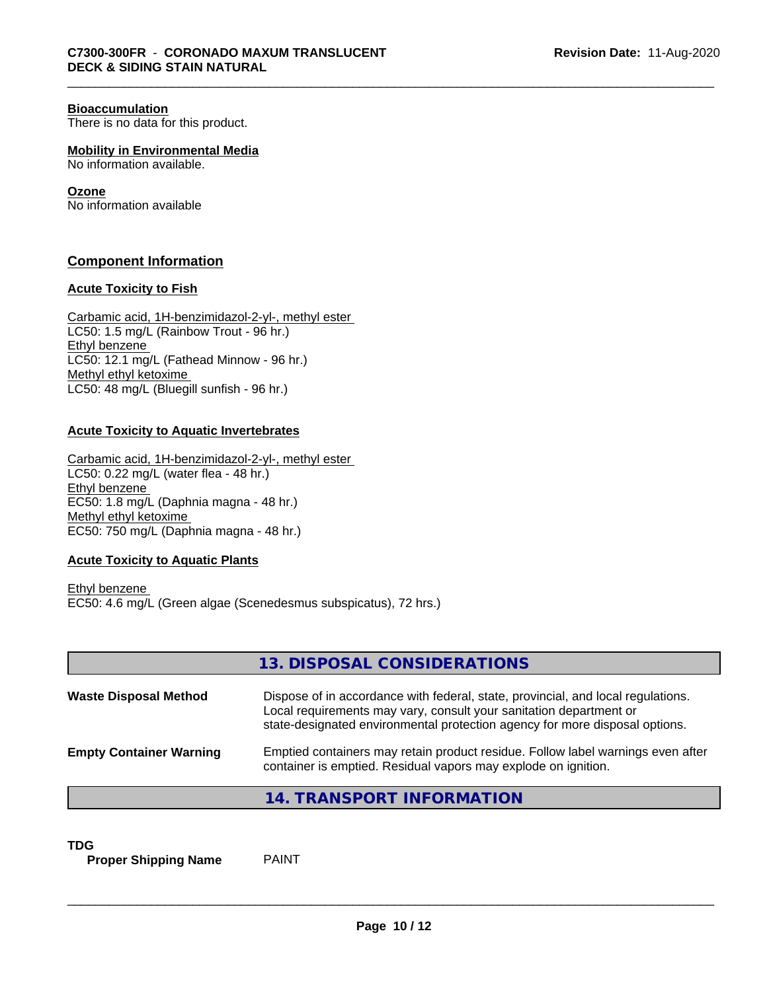#### **Bioaccumulation**

There is no data for this product.

**Mobility in Environmental Media** No information available.

#### **Ozone**

No information available

### **Component Information**

#### **Acute Toxicity to Fish**

Carbamic acid, 1H-benzimidazol-2-yl-, methyl ester LC50: 1.5 mg/L (Rainbow Trout - 96 hr.) Ethyl benzene LC50: 12.1 mg/L (Fathead Minnow - 96 hr.) Methyl ethyl ketoxime LC50: 48 mg/L (Bluegill sunfish - 96 hr.)

#### **Acute Toxicity to Aquatic Invertebrates**

Carbamic acid, 1H-benzimidazol-2-yl-, methyl ester LC50: 0.22 mg/L (water flea - 48 hr.) Ethyl benzene EC50: 1.8 mg/L (Daphnia magna - 48 hr.) Methyl ethyl ketoxime EC50: 750 mg/L (Daphnia magna - 48 hr.)

#### **Acute Toxicity to Aquatic Plants**

Ethyl benzene EC50: 4.6 mg/L (Green algae (Scenedesmus subspicatus), 72 hrs.)

|                                | 13. DISPOSAL CONSIDERATIONS                                                                                                                                                                                                           |
|--------------------------------|---------------------------------------------------------------------------------------------------------------------------------------------------------------------------------------------------------------------------------------|
| <b>Waste Disposal Method</b>   | Dispose of in accordance with federal, state, provincial, and local regulations.<br>Local requirements may vary, consult your sanitation department or<br>state-designated environmental protection agency for more disposal options. |
| <b>Empty Container Warning</b> | Emptied containers may retain product residue. Follow label warnings even after<br>container is emptied. Residual vapors may explode on ignition.                                                                                     |
|                                | 14. TRANSPORT INFORMATION                                                                                                                                                                                                             |

**TDG**<br>**Proper Shipping Name** PAINT **Proper Shipping Name**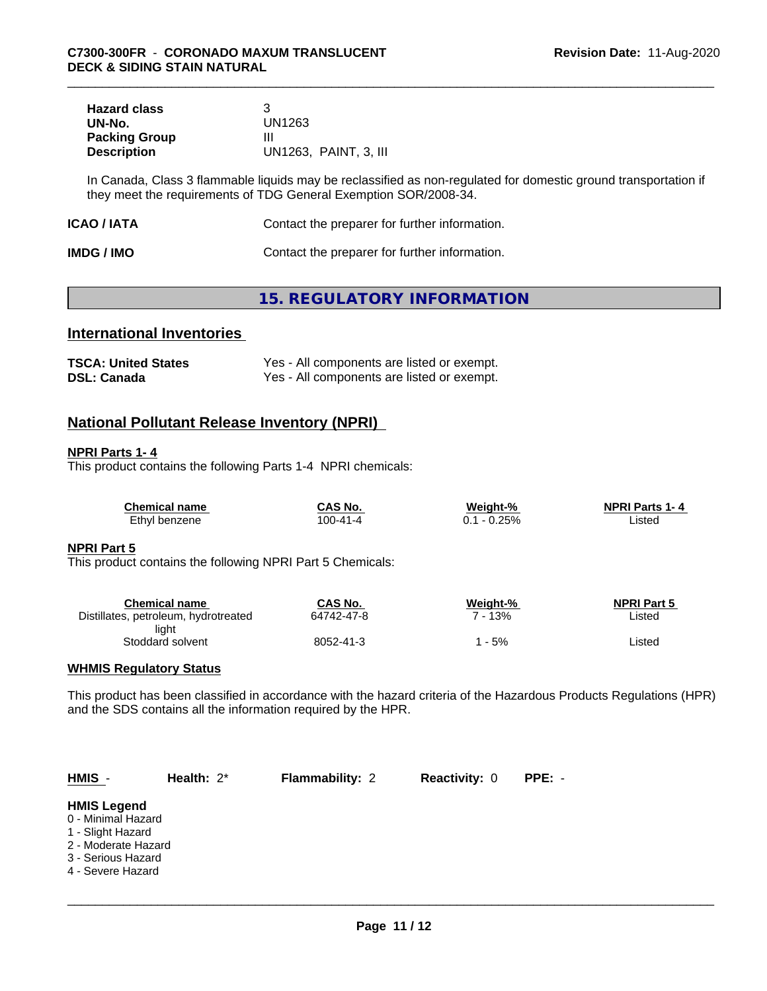| <b>Hazard class</b>  |                       |
|----------------------|-----------------------|
| UN-No.               | UN1263                |
| <b>Packing Group</b> |                       |
| <b>Description</b>   | UN1263, PAINT, 3, III |

In Canada, Class 3 flammable liquids may be reclassified as non-regulated for domestic ground transportation if they meet the requirements of TDG General Exemption SOR/2008-34.

| ICAO / IATA | Contact the preparer for further information. |  |
|-------------|-----------------------------------------------|--|
|-------------|-----------------------------------------------|--|

| <b>IMDG / IMO</b> | Contact the preparer for further information. |
|-------------------|-----------------------------------------------|
|-------------------|-----------------------------------------------|

# **15. REGULATORY INFORMATION**

# **International Inventories**

| <b>TSCA: United States</b> | Yes - All components are listed or exempt. |
|----------------------------|--------------------------------------------|
| <b>DSL: Canada</b>         | Yes - All components are listed or exempt. |

# **National Pollutant Release Inventory (NPRI)**

#### **NPRI Parts 1- 4**

This product contains the following Parts 1-4 NPRI chemicals:

| <b>Chemical name</b> | CAS No.        | Weight-% | <b>NPRI Parts 1-4</b> |
|----------------------|----------------|----------|-----------------------|
| Ethyl benzene        | $100 - 41 - 4$ | $-0.25%$ | ∟isted                |

#### **NPRI Part 5**

This product contains the following NPRI Part 5 Chemicals:

| Chemical name                        | CAS No.    | Weight-% | <b>NPRI Part 5</b> |
|--------------------------------------|------------|----------|--------------------|
| Distillates, petroleum, hydrotreated | 64742-47-8 | 13%      | Listed             |
| light                                |            |          |                    |
| Stoddard solvent                     | 8052-41-3  | - 5%     | Listed             |

### **WHMIS Regulatory Status**

This product has been classified in accordance with the hazard criteria of the Hazardous Products Regulations (HPR) and the SDS contains all the information required by the HPR.

| $HMIS -$                                                                                                                        | Health: $2^*$ | <b>Flammability: 2</b> | <b>Reactivity: 0</b> | PPE: - |  |
|---------------------------------------------------------------------------------------------------------------------------------|---------------|------------------------|----------------------|--------|--|
| <b>HMIS Legend</b><br>0 - Minimal Hazard<br>1 - Slight Hazard<br>2 - Moderate Hazard<br>3 - Serious Hazard<br>4 - Severe Hazard |               |                        |                      |        |  |
|                                                                                                                                 |               |                        |                      |        |  |